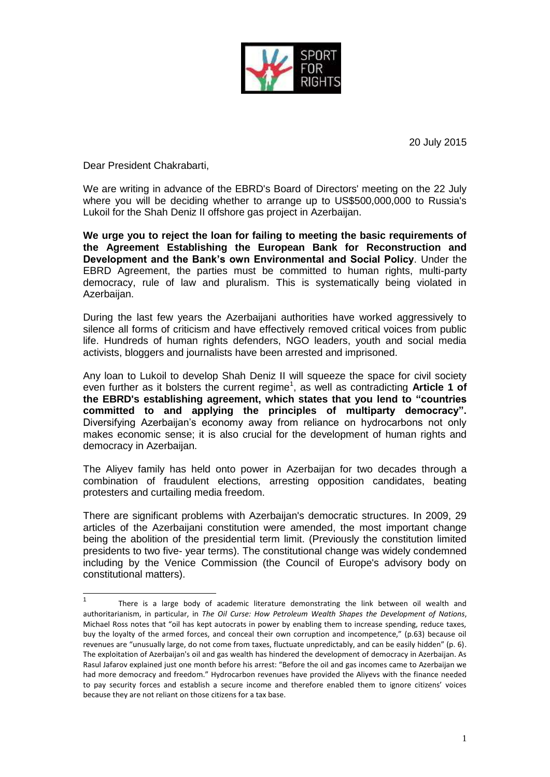

20 July 2015

Dear President Chakrabarti,

1

We are writing in advance of the EBRD's Board of Directors' meeting on the 22 July where you will be deciding whether to arrange up to US\$500,000,000 to Russia's Lukoil for the Shah Deniz II offshore gas project in Azerbaijan.

**We urge you to reject the loan for failing to meeting the basic requirements of the Agreement Establishing the European Bank for Reconstruction and Development and the Bank's own Environmental and Social Policy**. Under the EBRD Agreement, the parties must be committed to human rights, multi-party democracy, rule of law and pluralism. This is systematically being violated in Azerbaijan.

During the last few years the Azerbaijani authorities have worked aggressively to silence all forms of criticism and have effectively removed critical voices from public life. Hundreds of human rights defenders, NGO leaders, youth and social media activists, bloggers and journalists have been arrested and imprisoned.

Any loan to Lukoil to develop Shah Deniz II will squeeze the space for civil society even further as it bolsters the current regime<sup>1</sup>, as well as contradicting Article 1 of **the EBRD's establishing agreement, which states that you lend to "countries committed to and applying the principles of multiparty democracy".** Diversifying Azerbaijan's economy away from reliance on hydrocarbons not only makes economic sense; it is also crucial for the development of human rights and democracy in Azerbaijan.

The Aliyev family has held onto power in Azerbaijan for two decades through a combination of fraudulent elections, arresting opposition candidates, beating protesters and curtailing media freedom.

There are significant problems with Azerbaijan's democratic structures. In 2009, 29 articles of the Azerbaijani constitution were amended, the most important change being the abolition of the presidential term limit. (Previously the constitution limited presidents to two five- year terms). The constitutional change was widely condemned including by the Venice Commission (the Council of Europe's advisory body on constitutional matters).

<sup>1</sup> There is a large body of academic literature demonstrating the link between oil wealth and authoritarianism, in particular, in *The Oil Curse: How Petroleum Wealth Shapes the Development of Nations*, Michael Ross notes that "oil has kept autocrats in power by enabling them to increase spending, reduce taxes, buy the loyalty of the armed forces, and conceal their own corruption and incompetence," (p.63) because oil revenues are "unusually large, do not come from taxes, fluctuate unpredictably, and can be easily hidden" (p. 6). The exploitation of Azerbaijan's oil and gas wealth has hindered the development of democracy in Azerbaijan. As Rasul Jafarov explained just one month before his arrest: "Before the oil and gas incomes came to Azerbaijan we had more democracy and freedom." Hydrocarbon revenues have provided the Aliyevs with the finance needed to pay security forces and establish a secure income and therefore enabled them to ignore citizens' voices because they are not reliant on those citizens for a tax base.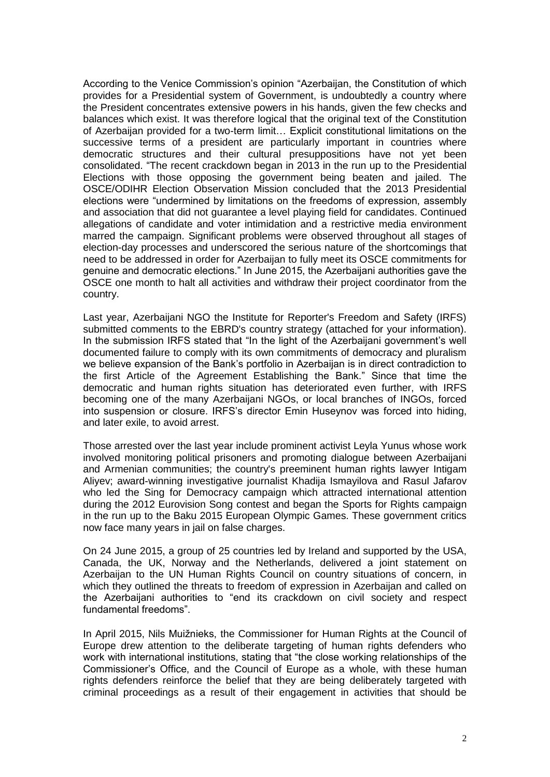According to the Venice Commission's opinion "Azerbaijan, the Constitution of which provides for a Presidential system of Government, is undoubtedly a country where the President concentrates extensive powers in his hands, given the few checks and balances which exist. It was therefore logical that the original text of the Constitution of Azerbaijan provided for a two-term limit… Explicit constitutional limitations on the successive terms of a president are particularly important in countries where democratic structures and their cultural presuppositions have not yet been consolidated. "The recent crackdown began in 2013 in the run up to the Presidential Elections with those opposing the government being beaten and jailed. The OSCE/ODIHR Election Observation Mission concluded that the 2013 Presidential elections were "undermined by limitations on the freedoms of expression, assembly and association that did not guarantee a level playing field for candidates. Continued allegations of candidate and voter intimidation and a restrictive media environment marred the campaign. Significant problems were observed throughout all stages of election-day processes and underscored the serious nature of the shortcomings that need to be addressed in order for Azerbaijan to fully meet its OSCE commitments for genuine and democratic elections." In June 2015, the Azerbaijani authorities gave the OSCE one month to halt all activities and withdraw their project coordinator from the country.

Last year, Azerbaijani NGO the Institute for Reporter's Freedom and Safety (IRFS) submitted comments to the EBRD's country strategy (attached for your information). In the submission IRFS stated that "In the light of the Azerbaijani government's well documented failure to comply with its own commitments of democracy and pluralism we believe expansion of the Bank's portfolio in Azerbaijan is in direct contradiction to the first Article of the Agreement Establishing the Bank." Since that time the democratic and human rights situation has deteriorated even further, with IRFS becoming one of the many Azerbaijani NGOs, or local branches of INGOs, forced into suspension or closure. IRFS's director Emin Huseynov was forced into hiding, and later exile, to avoid arrest.

Those arrested over the last year include prominent activist Leyla Yunus whose work involved monitoring political prisoners and promoting dialogue between Azerbaijani and Armenian communities; the country's preeminent human rights lawyer Intigam Aliyev; award-winning investigative journalist Khadija Ismayilova and Rasul Jafarov who led the Sing for Democracy campaign which attracted international attention during the 2012 Eurovision Song contest and began the Sports for Rights campaign in the run up to the Baku 2015 European Olympic Games. These government critics now face many years in jail on false charges.

On 24 June 2015, a group of 25 countries led by Ireland and supported by the USA, Canada, the UK, Norway and the Netherlands, delivered a joint statement on Azerbaijan to the UN Human Rights Council on country situations of concern, in which they outlined the threats to freedom of expression in Azerbaijan and called on the Azerbaijani authorities to "end its crackdown on civil society and respect fundamental freedoms".

In April 2015, Nils Muižnieks, the Commissioner for Human Rights at the Council of Europe drew attention to the deliberate targeting of human rights defenders who work with international institutions, stating that "the close working relationships of the Commissioner's Office, and the Council of Europe as a whole, with these human rights defenders reinforce the belief that they are being deliberately targeted with criminal proceedings as a result of their engagement in activities that should be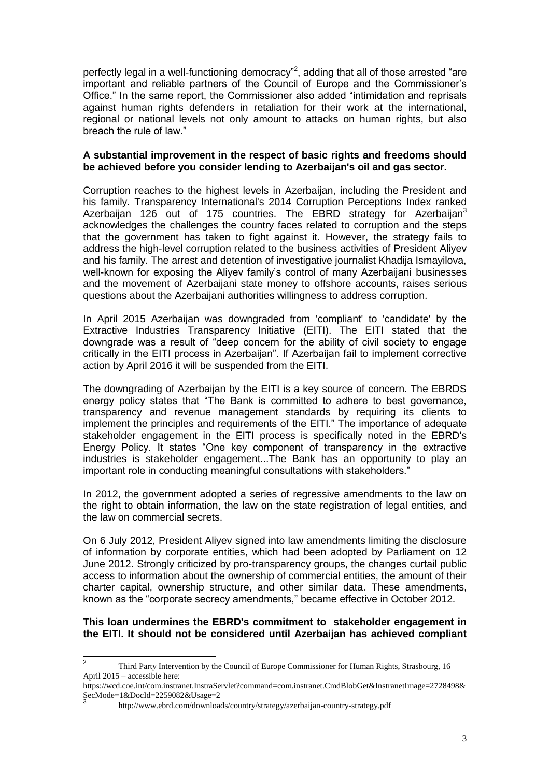perfectly legal in a well-functioning democracy"<sup>2</sup>, adding that all of those arrested "are important and reliable partners of the Council of Europe and the Commissioner's Office." In the same report, the Commissioner also added "intimidation and reprisals against human rights defenders in retaliation for their work at the international, regional or national levels not only amount to attacks on human rights, but also breach the rule of law."

## **A substantial improvement in the respect of basic rights and freedoms should be achieved before you consider lending to Azerbaijan's oil and gas sector.**

Corruption reaches to the highest levels in Azerbaijan, including the President and his family. Transparency International's 2014 Corruption Perceptions Index ranked Azerbaijan 126 out of 175 countries. The EBRD strategy for Azerbaijan $3$ acknowledges the challenges the country faces related to corruption and the steps that the government has taken to fight against it. However, the strategy fails to address the high-level corruption related to the business activities of President Aliyev and his family. The arrest and detention of investigative journalist Khadija Ismayilova, well-known for exposing the Aliyev family's control of many Azerbaijani businesses and the movement of Azerbaijani state money to offshore accounts, raises serious questions about the Azerbaijani authorities willingness to address corruption.

In April 2015 Azerbaijan was downgraded from 'compliant' to 'candidate' by the Extractive Industries Transparency Initiative (EITI). The EITI stated that the downgrade was a result of "deep concern for the ability of civil society to engage critically in the EITI process in Azerbaijan". If Azerbaijan fail to implement corrective action by April 2016 it will be suspended from the EITI.

The downgrading of Azerbaijan by the EITI is a key source of concern. The EBRDS energy policy states that "The Bank is committed to adhere to best governance, transparency and revenue management standards by requiring its clients to implement the principles and requirements of the EITI." The importance of adequate stakeholder engagement in the EITI process is specifically noted in the EBRD's Energy Policy. It states "One key component of transparency in the extractive industries is stakeholder engagement...The Bank has an opportunity to play an important role in conducting meaningful consultations with stakeholders."

In 2012, the government adopted a series of regressive amendments to the law on the right to obtain information, the law on the state registration of legal entities, and the law on commercial secrets.

On 6 July 2012, President Aliyev signed into law amendments limiting the disclosure of information by corporate entities, which had been adopted by Parliament on 12 June 2012. Strongly criticized by pro-transparency groups, the changes curtail public access to information about the ownership of commercial entities, the amount of their charter capital, ownership structure, and other similar data. These amendments, known as the "corporate secrecy amendments," became effective in October 2012.

## **This loan undermines the EBRD's commitment to stakeholder engagement in the EITI. It should not be considered until Azerbaijan has achieved compliant**

 $\frac{1}{2}$ Third Party Intervention by the Council of Europe Commissioner for Human Rights, Strasbourg, 16 April 2015 – accessible here:

https://wcd.coe.int/com.instranet.InstraServlet?command=com.instranet.CmdBlobGet&InstranetImage=2728498& SecMode=1&DocId=2259082&Usage=2

http://www.ebrd.com/downloads/country/strategy/azerbaijan-country-strategy.pdf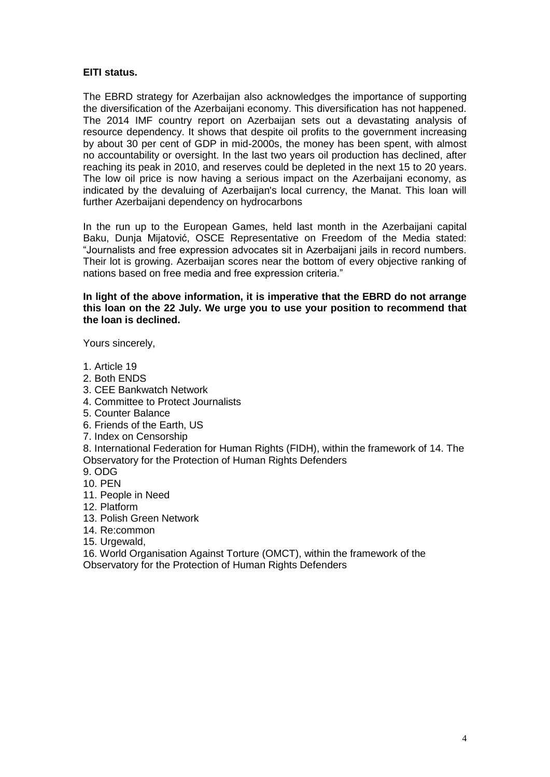# **EITI status.**

The EBRD strategy for Azerbaijan also acknowledges the importance of supporting the diversification of the Azerbaijani economy. This diversification has not happened. The 2014 IMF country report on Azerbaijan sets out a devastating analysis of resource dependency. It shows that despite oil profits to the government increasing by about 30 per cent of GDP in mid-2000s, the money has been spent, with almost no accountability or oversight. In the last two years oil production has declined, after reaching its peak in 2010, and reserves could be depleted in the next 15 to 20 years. The low oil price is now having a serious impact on the Azerbaijani economy, as indicated by the devaluing of Azerbaijan's local currency, the Manat. This loan will further Azerbaijani dependency on hydrocarbons

In the run up to the European Games, held last month in the Azerbaijani capital Baku, Dunja Mijatović, OSCE Representative on Freedom of the Media stated: "Journalists and free expression advocates sit in Azerbaijani jails in record numbers. Their lot is growing. Azerbaijan scores near the bottom of every objective ranking of nations based on free media and free expression criteria."

#### **In light of the above information, it is imperative that the EBRD do not arrange this loan on the 22 July. We urge you to use your position to recommend that the loan is declined.**

Yours sincerely,

- 1. Article 19
- 2. Both ENDS
- 3. CEE Bankwatch Network
- 4. Committee to Protect Journalists
- 5. Counter Balance
- 6. Friends of the Earth, US
- 7. Index on Censorship

8. International Federation for Human Rights (FIDH), within the framework of 14. The Observatory for the Protection of Human Rights Defenders

- 9. ODG
- 10. PEN
- 11. People in Need
- 12. Platform
- 13. Polish Green Network
- 14. Re:common
- 15. Urgewald,

16. World Organisation Against Torture (OMCT), within the framework of the Observatory for the Protection of Human Rights Defenders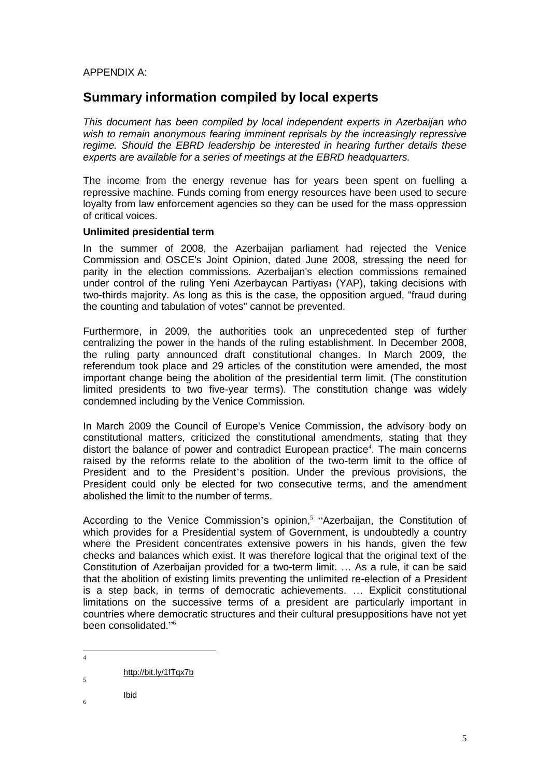# APPENDIX A:

# **Summary information compiled by local experts**

*This document has been compiled by local independent experts in Azerbaijan who wish to remain anonymous fearing imminent reprisals by the increasingly repressive regime. Should the EBRD leadership be interested in hearing further details these experts are available for a series of meetings at the EBRD headquarters.*

The income from the energy revenue has for years been spent on fuelling a repressive machine. Funds coming from energy resources have been used to secure loyalty from law enforcement agencies so they can be used for the mass oppression of critical voices.

## **Unlimited presidential term**

In the summer of 2008, the Azerbaijan parliament had rejected the Venice Commission and OSCE's Joint Opinion, dated June 2008, stressing the need for parity in the election commissions. Azerbaijan's election commissions remained under control of the ruling Yeni Azerbaycan Partiyası (YAP), taking decisions with two-thirds majority. As long as this is the case, the opposition argued, "fraud during the counting and tabulation of votes" cannot be prevented.

Furthermore, in 2009, the authorities took an unprecedented step of further centralizing the power in the hands of the ruling establishment. In December 2008, the ruling party announced draft constitutional changes. In March 2009, the referendum took place and 29 articles of the constitution were amended, the most important change being the abolition of the presidential term limit. (The constitution limited presidents to two five-year terms). The constitution change was widely condemned including by the Venice Commission.

In March 2009 the Council of Europe's Venice Commission, the advisory body on constitutional matters, criticized the constitutional amendments, stating that they distort the balance of power and contradict European practice<sup>4</sup>. The main concerns raised by the reforms relate to the abolition of the two-term limit to the office of President and to the President's position. Under the previous provisions, the President could only be elected for two consecutive terms, and the amendment abolished the limit to the number of terms.

According to the Venice Commission's opinion,<sup>5</sup> "Azerbaijan, the Constitution of which provides for a Presidential system of Government, is undoubtedly a country where the President concentrates extensive powers in his hands, given the few checks and balances which exist. It was therefore logical that the original text of the Constitution of Azerbaijan provided for a two-term limit. … As a rule, it can be said that the abolition of existing limits preventing the unlimited re-election of a President is a step back, in terms of democratic achievements. … Explicit constitutional limitations on the successive terms of a president are particularly important in countries where democratic structures and their cultural presuppositions have not yet been consolidated." 6

 $\overline{5}$ 

Ibid 6

5

 $\frac{1}{4}$ 

[http://bit.ly/1fTqx7b](http://bit.ly/1ftqx7b)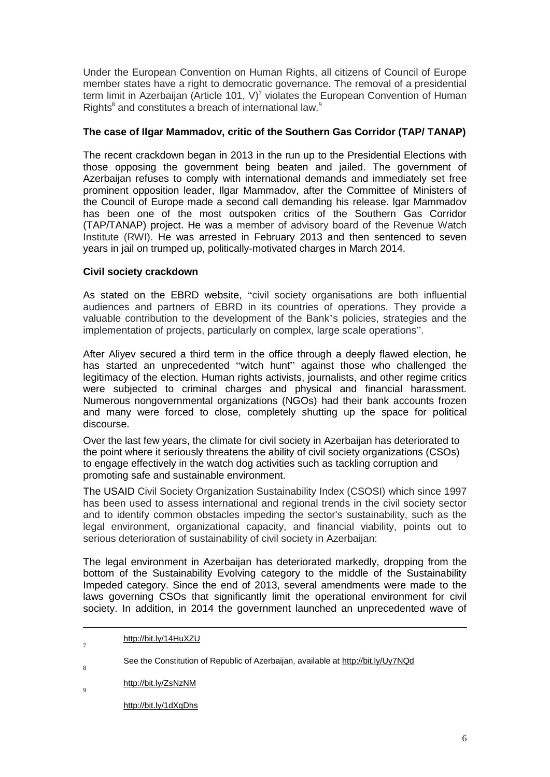Under the European Convention on Human Rights, all citizens of Council of Europe member states have a right to democratic governance. The removal of a presidential term limit in Azerbaijan (Article 101, V)<sup>7</sup> violates the European Convention of Human Rights<sup>8</sup> and constitutes a breach of international law.<sup>9</sup>

# **The case of Ilgar Mammadov, critic of the Southern Gas Corridor (TAP/ TANAP)**

The recent crackdown began in 2013 in the run up to the Presidential Elections with those opposing the government being beaten and jailed. The government of Azerbaijan refuses to comply with international demands and immediately set free prominent opposition leader, Ilgar Mammadov, after the Committee of Ministers of the Council of Europe made a second call demanding his release. lgar Mammadov has been one of the most outspoken critics of the Southern Gas Corridor (TAP/TANAP) project. He was a member of advisory board of the Revenue Watch Institute (RWI). He was arrested in February 2013 and then sentenced to seven years in jail on trumped up, politically-motivated charges in March 2014.

# **Civil society crackdown**

As stated on the EBRD website, "civil society organisations are both influential audiences and partners of EBRD in its countries of operations. They provide a valuable contribution to the development of the Bank's policies, strategies and the implementation of projects, particularly on complex, large scale operations".

After Aliyev secured a third term in the office through a deeply flawed election, he has started an unprecedented "witch hunt" against those who challenged the legitimacy of the election. Human rights activists, journalists, and other regime critics were subjected to criminal charges and physical and financial harassment. Numerous nongovernmental organizations (NGOs) had their bank accounts frozen and many were forced to close, completely shutting up the space for political discourse.

Over the last few years, the climate for civil society in Azerbaijan has deteriorated to the point where it seriously threatens the ability of civil society organizations (CSOs) to engage effectively in the watch dog activities such as tackling corruption and promoting safe and sustainable environment.

The USAID Civil Society Organization Sustainability Index (CSOSI) which since 1997 has been used to assess international and regional trends in the civil society sector and to identify common obstacles impeding the sector's sustainability, such as the legal environment, organizational capacity, and financial viability, points out to serious deterioration of sustainability of civil society in Azerbaijan:

The legal environment in Azerbaijan has deteriorated markedly, dropping from the bottom of the Sustainability Evolving category to the middle of the Sustainability Impeded category. Since the end of 2013, several amendments were made to the laws governing CSOs that significantly limit the operational environment for civil society. In addition, in 2014 the government launched an unprecedented wave of

1

7

[http://bit.ly/14HuXZU](http://bit.ly/14huxzu)

See the Constitution of Republic of Azerbaijan, available at [http://bit.ly/Uy7NQd](http://bit.ly/uy7nqd) 8

[http://bit.ly/ZsNzNM](http://bit.ly/zsnznm)  $\overline{9}$ 

[http://bit.ly/1dXqDhs](http://bit.ly/1dxqdhs)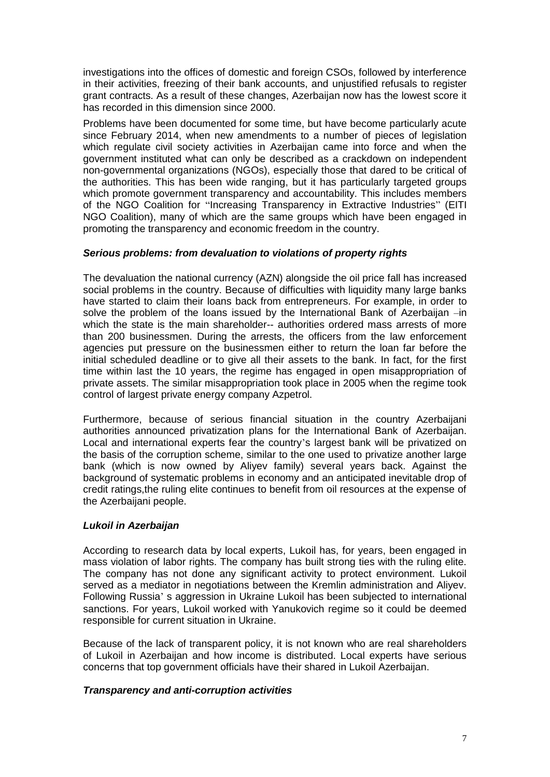investigations into the offices of domestic and foreign CSOs, followed by interference in their activities, freezing of their bank accounts, and unjustified refusals to register grant contracts. As a result of these changes, Azerbaijan now has the lowest score it has recorded in this dimension since 2000.

Problems have been documented for some time, but have become particularly acute since February 2014, when new amendments to a number of pieces of legislation which regulate civil society activities in Azerbaijan came into force and when the government instituted what can only be described as a crackdown on independent non-governmental organizations (NGOs), especially those that dared to be critical of the authorities. This has been wide ranging, but it has particularly targeted groups which promote government transparency and accountability. This includes members of the NGO Coalition for "Increasing Transparency in Extractive Industries" (EITI NGO Coalition), many of which are the same groups which have been engaged in promoting the transparency and economic freedom in the country.

# *Serious problems: from devaluation to violations of property rights*

The devaluation the national currency (AZN) alongside the oil price fall has increased social problems in the country. Because of difficulties with liquidity many large banks have started to claim their loans back from entrepreneurs. For example, in order to solve the problem of the loans issued by the International Bank of Azerbaijan –in which the state is the main shareholder-- authorities ordered mass arrests of more than 200 businessmen. During the arrests, the officers from the law enforcement agencies put pressure on the businessmen either to return the loan far before the initial scheduled deadline or to give all their assets to the bank. In fact, for the first time within last the 10 years, the regime has engaged in open misappropriation of private assets. The similar misappropriation took place in 2005 when the regime took control of largest private energy company Azpetrol.

Furthermore, because of serious financial situation in the country Azerbaijani authorities announced privatization plans for the International Bank of Azerbaijan. Local and international experts fear the country's largest bank will be privatized on the basis of the corruption scheme, similar to the one used to privatize another large bank (which is now owned by Aliyev family) several years back. Against the background of systematic problems in economy and an anticipated inevitable drop of credit ratings,the ruling elite continues to benefit from oil resources at the expense of the Azerbaijani people.

# *Lukoil in Azerbaijan*

According to research data by local experts, Lukoil has, for years, been engaged in mass violation of labor rights. The company has built strong ties with the ruling elite. The company has not done any significant activity to protect environment. Lukoil served as a mediator in negotiations between the Kremlin administration and Aliyev. Following Russia' s aggression in Ukraine Lukoil has been subjected to international sanctions. For years, Lukoil worked with Yanukovich regime so it could be deemed responsible for current situation in Ukraine.

Because of the lack of transparent policy, it is not known who are real shareholders of Lukoil in Azerbaijan and how income is distributed. Local experts have serious concerns that top government officials have their shared in Lukoil Azerbaijan.

# *Transparency and anti-corruption activities*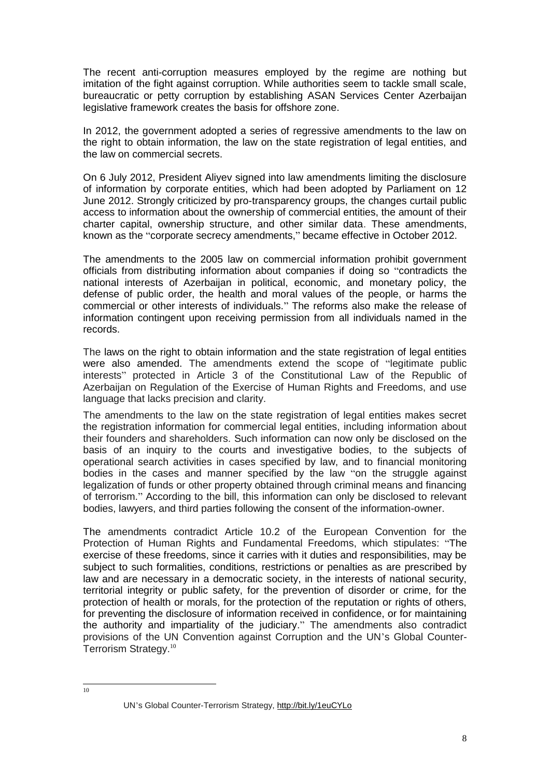The recent anti-corruption measures employed by the regime are nothing but imitation of the fight against corruption. While authorities seem to tackle small scale, bureaucratic or petty corruption by establishing ASAN Services Center Azerbaijan legislative framework creates the basis for offshore zone.

In 2012, the government adopted a series of regressive amendments to the law on the right to obtain information, the law on the state registration of legal entities, and the law on commercial secrets.

On 6 July 2012, President Aliyev signed into law amendments limiting the disclosure of information by corporate entities, which had been adopted by Parliament on 12 June 2012. Strongly criticized by pro-transparency groups, the changes curtail public access to information about the ownership of commercial entities, the amount of their charter capital, ownership structure, and other similar data. These amendments, known as the "corporate secrecy amendments," became effective in October 2012.

The amendments to the 2005 law on commercial information prohibit government officials from distributing information about companies if doing so "contradicts the national interests of Azerbaijan in political, economic, and monetary policy, the defense of public order, the health and moral values of the people, or harms the commercial or other interests of individuals." The reforms also make the release of information contingent upon receiving permission from all individuals named in the records.

The laws on the right to obtain information and the state registration of legal entities were also amended. The amendments extend the scope of "legitimate public interests" protected in Article 3 of the Constitutional Law of the Republic of Azerbaijan on Regulation of the Exercise of Human Rights and Freedoms, and use language that lacks precision and clarity.

The amendments to the law on the state registration of legal entities makes secret the registration information for commercial legal entities, including information about their founders and shareholders. Such information can now only be disclosed on the basis of an inquiry to the courts and investigative bodies, to the subjects of operational search activities in cases specified by law, and to financial monitoring bodies in the cases and manner specified by the law "on the struggle against legalization of funds or other property obtained through criminal means and financing of terrorism." According to the bill, this information can only be disclosed to relevant bodies, lawyers, and third parties following the consent of the information-owner.

The amendments contradict Article 10.2 of the European Convention for the Protection of Human Rights and Fundamental Freedoms, which stipulates: "The exercise of these freedoms, since it carries with it duties and responsibilities, may be subject to such formalities, conditions, restrictions or penalties as are prescribed by law and are necessary in a democratic society, in the interests of national security, territorial integrity or public safety, for the prevention of disorder or crime, for the protection of health or morals, for the protection of the reputation or rights of others, for preventing the disclosure of information received in confidence, or for maintaining the authority and impartiality of the judiciary." The amendments also contradict provisions of the UN Convention against Corruption and the UN's Global Counter-Terrorism Strategy.<sup>10</sup>

 $\frac{1}{10}$ 

UN's Global Counter-Terrorism Strategy, [http://bit.ly/1euCYLo](http://bit.ly/1eucylo)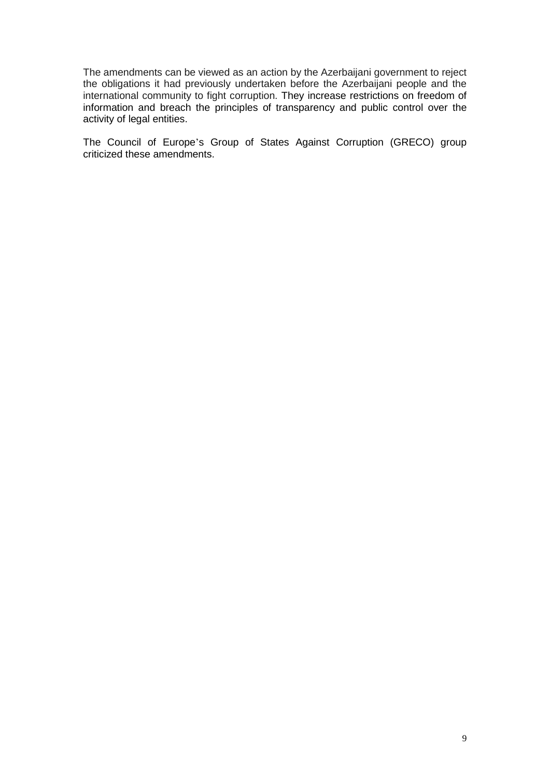The amendments can be viewed as an action by the Azerbaijani government to reject the obligations it had previously undertaken before the Azerbaijani people and the international community to fight corruption. They increase restrictions on freedom of information and breach the principles of transparency and public control over the activity of legal entities.

The Council of Europe's Group of States Against Corruption (GRECO) group criticized these amendments.